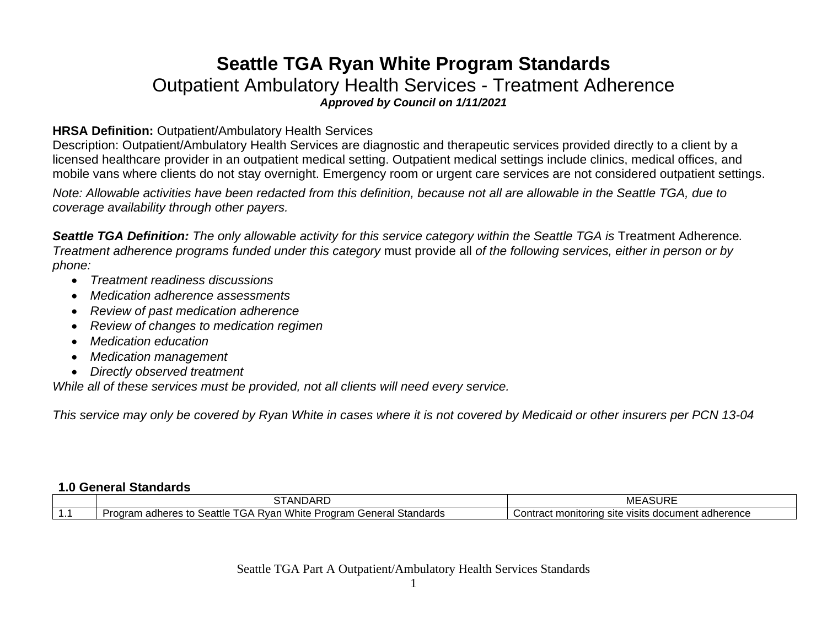# **Seattle TGA Ryan White Program Standards** Outpatient Ambulatory Health Services - Treatment Adherence *Approved by Council on 1/11/2021*

## **HRSA Definition:** Outpatient/Ambulatory Health Services

Description: Outpatient/Ambulatory Health Services are diagnostic and therapeutic services provided directly to a client by a licensed healthcare provider in an outpatient medical setting. Outpatient medical settings include clinics, medical offices, and mobile vans where clients do not stay overnight. Emergency room or urgent care services are not considered outpatient settings.

*Note: Allowable activities have been redacted from this definition, because not all are allowable in the Seattle TGA, due to coverage availability through other payers.*

**Seattle TGA Definition:** The only allowable activity for this service category within the Seattle TGA is Treatment Adherence. *Treatment adherence programs funded under this category* must provide all *of the following services, either in person or by phone:*

- *Treatment readiness discussions*
- *Medication adherence assessments*
- *Review of past medication adherence*
- *Review of changes to medication regimen*
- *Medication education*
- *Medication management*
- *Directly observed treatment*

*While all of these services must be provided, not all clients will need every service.*

*This service may only be covered by Ryan White in cases where it is not covered by Medicaid or other insurers per PCN 13-04*

#### **1.0 General Standards**

|  | ∵ ANDAR∟                                                                                          | <b>ASURE</b><br><b>MEA</b>                                         |  |  |
|--|---------------------------------------------------------------------------------------------------|--------------------------------------------------------------------|--|--|
|  | White<br>Standards<br>Seattle<br>Prooram<br>Genera'<br>Program<br>Rvar<br>heres to<br>adh<br>ミレコノ | ∵monitorina<br>aocument adherence ;<br>ı sıte<br>Contract<br>ขารแร |  |  |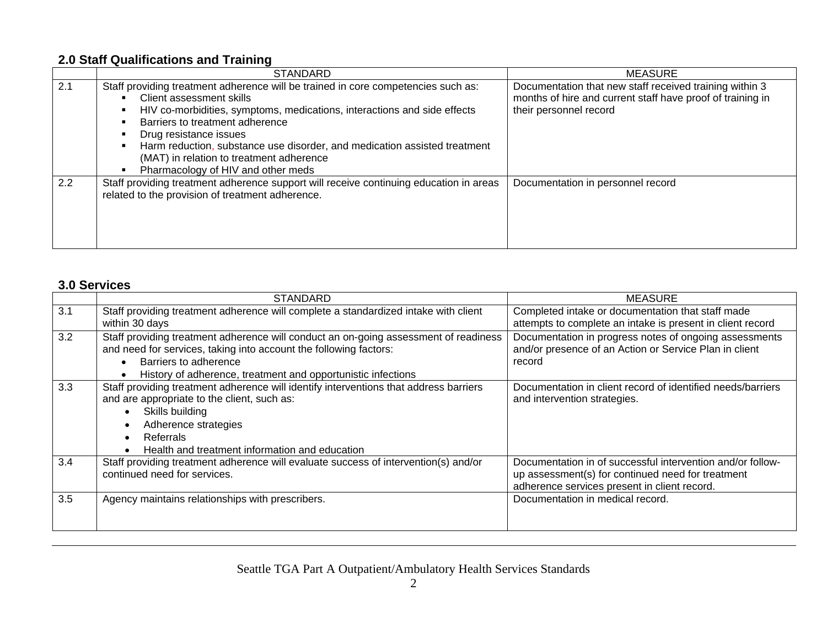# **2.0 Staff Qualifications and Training**

|     | <b>STANDARD</b>                                                                                                                                                                                                                                                                                                                                                                                                       | <b>MEASURE</b>                                                                                                                                  |
|-----|-----------------------------------------------------------------------------------------------------------------------------------------------------------------------------------------------------------------------------------------------------------------------------------------------------------------------------------------------------------------------------------------------------------------------|-------------------------------------------------------------------------------------------------------------------------------------------------|
| 2.1 | Staff providing treatment adherence will be trained in core competencies such as:<br>Client assessment skills<br>HIV co-morbidities, symptoms, medications, interactions and side effects<br>Barriers to treatment adherence<br>Drug resistance issues<br>Harm reduction, substance use disorder, and medication assisted treatment<br>(MAT) in relation to treatment adherence<br>Pharmacology of HIV and other meds | Documentation that new staff received training within 3<br>months of hire and current staff have proof of training in<br>their personnel record |
| 2.2 | Staff providing treatment adherence support will receive continuing education in areas<br>related to the provision of treatment adherence.                                                                                                                                                                                                                                                                            | Documentation in personnel record                                                                                                               |

# **3.0 Services**

|     | <b>STANDARD</b>                                                                                                                                                                                                                                                                              | <b>MEASURE</b>                                                                                                                                                  |
|-----|----------------------------------------------------------------------------------------------------------------------------------------------------------------------------------------------------------------------------------------------------------------------------------------------|-----------------------------------------------------------------------------------------------------------------------------------------------------------------|
| 3.1 | Staff providing treatment adherence will complete a standardized intake with client<br>within 30 days                                                                                                                                                                                        | Completed intake or documentation that staff made<br>attempts to complete an intake is present in client record                                                 |
| 3.2 | Staff providing treatment adherence will conduct an on-going assessment of readiness<br>and need for services, taking into account the following factors:<br>Barriers to adherence<br>History of adherence, treatment and opportunistic infections                                           | Documentation in progress notes of ongoing assessments<br>and/or presence of an Action or Service Plan in client<br>record                                      |
| 3.3 | Staff providing treatment adherence will identify interventions that address barriers<br>and are appropriate to the client, such as:<br>Skills building<br>$\bullet$<br>Adherence strategies<br>$\bullet$<br><b>Referrals</b><br>$\bullet$<br>Health and treatment information and education | Documentation in client record of identified needs/barriers<br>and intervention strategies.                                                                     |
| 3.4 | Staff providing treatment adherence will evaluate success of intervention(s) and/or<br>continued need for services.                                                                                                                                                                          | Documentation in of successful intervention and/or follow-<br>up assessment(s) for continued need for treatment<br>adherence services present in client record. |
| 3.5 | Agency maintains relationships with prescribers.                                                                                                                                                                                                                                             | Documentation in medical record.                                                                                                                                |